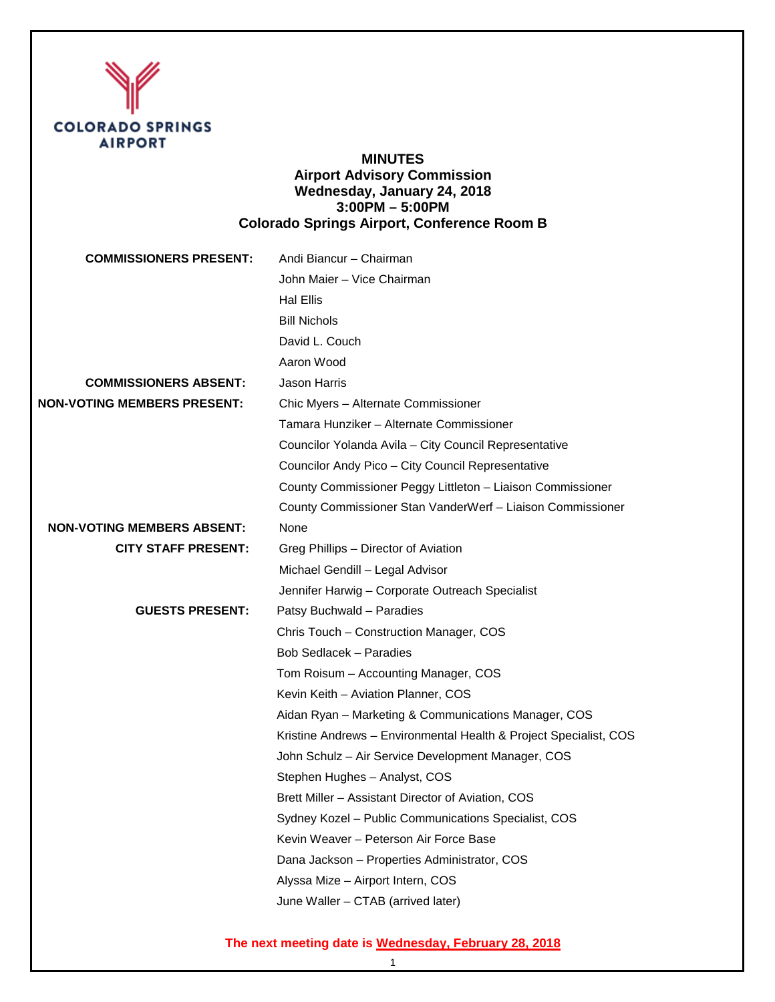

## **MINUTES Airport Advisory Commission Wednesday, January 24, 2018 3:00PM – 5:00PM Colorado Springs Airport, Conference Room B**

| <b>COMMISSIONERS PRESENT:</b>      | Andi Biancur - Chairman                                           |
|------------------------------------|-------------------------------------------------------------------|
|                                    | John Maier - Vice Chairman                                        |
|                                    | <b>Hal Ellis</b>                                                  |
|                                    | <b>Bill Nichols</b>                                               |
|                                    | David L. Couch                                                    |
|                                    | Aaron Wood                                                        |
| <b>COMMISSIONERS ABSENT:</b>       | Jason Harris                                                      |
| <b>NON-VOTING MEMBERS PRESENT:</b> | Chic Myers - Alternate Commissioner                               |
|                                    | Tamara Hunziker - Alternate Commissioner                          |
|                                    | Councilor Yolanda Avila - City Council Representative             |
|                                    | Councilor Andy Pico - City Council Representative                 |
|                                    | County Commissioner Peggy Littleton - Liaison Commissioner        |
|                                    | County Commissioner Stan VanderWerf - Liaison Commissioner        |
| <b>NON-VOTING MEMBERS ABSENT:</b>  | None                                                              |
| <b>CITY STAFF PRESENT:</b>         | Greg Phillips - Director of Aviation                              |
|                                    | Michael Gendill - Legal Advisor                                   |
|                                    | Jennifer Harwig - Corporate Outreach Specialist                   |
| <b>GUESTS PRESENT:</b>             | Patsy Buchwald - Paradies                                         |
|                                    | Chris Touch - Construction Manager, COS                           |
|                                    | Bob Sedlacek - Paradies                                           |
|                                    | Tom Roisum - Accounting Manager, COS                              |
|                                    | Kevin Keith - Aviation Planner, COS                               |
|                                    | Aidan Ryan - Marketing & Communications Manager, COS              |
|                                    | Kristine Andrews - Environmental Health & Project Specialist, COS |
|                                    | John Schulz - Air Service Development Manager, COS                |
|                                    | Stephen Hughes - Analyst, COS                                     |
|                                    | Brett Miller - Assistant Director of Aviation, COS                |
|                                    | Sydney Kozel - Public Communications Specialist, COS              |
|                                    | Kevin Weaver - Peterson Air Force Base                            |
|                                    | Dana Jackson - Properties Administrator, COS                      |
|                                    | Alyssa Mize - Airport Intern, COS                                 |
|                                    | June Waller - CTAB (arrived later)                                |
|                                    |                                                                   |

# **The next meeting date is Wednesday, February 28, 2018**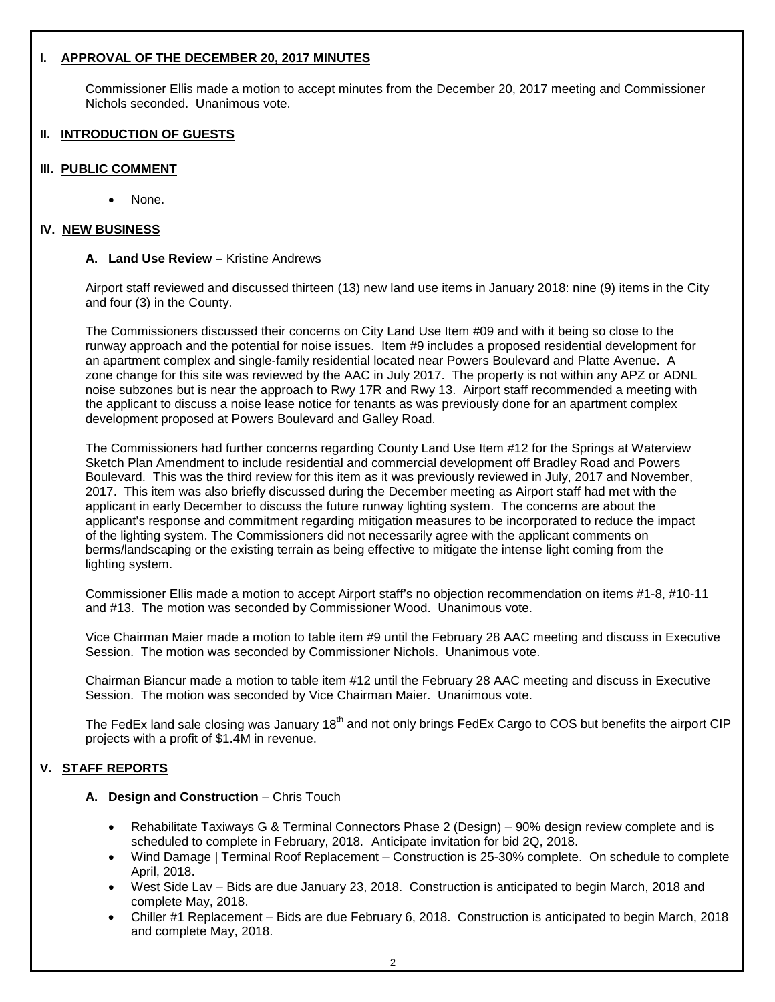## **I. APPROVAL OF THE DECEMBER 20, 2017 MINUTES**

Commissioner Ellis made a motion to accept minutes from the December 20, 2017 meeting and Commissioner Nichols seconded. Unanimous vote.

## **II. INTRODUCTION OF GUESTS**

#### **III. PUBLIC COMMENT**

Ι

None.

#### **IV. NEW BUSINESS**

#### **A. Land Use Review –** Kristine Andrews

Airport staff reviewed and discussed thirteen (13) new land use items in January 2018: nine (9) items in the City and four (3) in the County.

The Commissioners discussed their concerns on City Land Use Item #09 and with it being so close to the runway approach and the potential for noise issues. Item #9 includes a proposed residential development for an apartment complex and single-family residential located near Powers Boulevard and Platte Avenue. A zone change for this site was reviewed by the AAC in July 2017. The property is not within any APZ or ADNL noise subzones but is near the approach to Rwy 17R and Rwy 13. Airport staff recommended a meeting with the applicant to discuss a noise lease notice for tenants as was previously done for an apartment complex development proposed at Powers Boulevard and Galley Road.

The Commissioners had further concerns regarding County Land Use Item #12 for the Springs at Waterview Sketch Plan Amendment to include residential and commercial development off Bradley Road and Powers Boulevard. This was the third review for this item as it was previously reviewed in July, 2017 and November, 2017. This item was also briefly discussed during the December meeting as Airport staff had met with the applicant in early December to discuss the future runway lighting system. The concerns are about the applicant's response and commitment regarding mitigation measures to be incorporated to reduce the impact of the lighting system. The Commissioners did not necessarily agree with the applicant comments on berms/landscaping or the existing terrain as being effective to mitigate the intense light coming from the lighting system.

Commissioner Ellis made a motion to accept Airport staff's no objection recommendation on items #1-8, #10-11 and #13. The motion was seconded by Commissioner Wood. Unanimous vote.

Vice Chairman Maier made a motion to table item #9 until the February 28 AAC meeting and discuss in Executive Session. The motion was seconded by Commissioner Nichols. Unanimous vote.

Chairman Biancur made a motion to table item #12 until the February 28 AAC meeting and discuss in Executive Session. The motion was seconded by Vice Chairman Maier. Unanimous vote.

The FedEx land sale closing was January 18<sup>th</sup> and not only brings FedEx Cargo to COS but benefits the airport CIP projects with a profit of \$1.4M in revenue.

## **V. STAFF REPORTS**

## **A. Design and Construction** – Chris Touch

- Rehabilitate Taxiways G & Terminal Connectors Phase 2 (Design) 90% design review complete and is scheduled to complete in February, 2018. Anticipate invitation for bid 2Q, 2018.
- Wind Damage | Terminal Roof Replacement Construction is 25-30% complete. On schedule to complete April, 2018.
- West Side Lav Bids are due January 23, 2018. Construction is anticipated to begin March, 2018 and complete May, 2018.
- Chiller #1 Replacement Bids are due February 6, 2018. Construction is anticipated to begin March, 2018 and complete May, 2018.